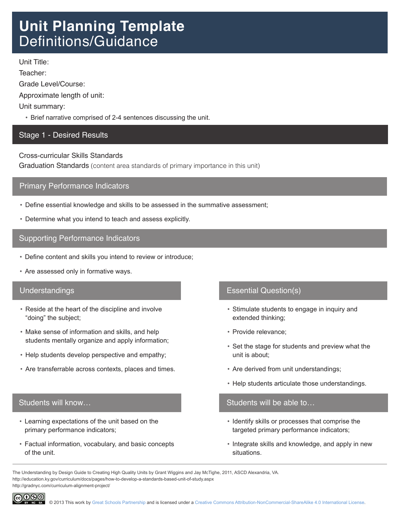# **Unit Planning Template** Definitions/Guidance

Unit Title:

Teacher:

Grade Level/Course:

Approximate length of unit:

Unit summary:

• Brief narrative comprised of 2-4 sentences discussing the unit.

# Stage 1 - Desired Results

Cross-curricular Skills Standards

Graduation Standards (content area standards of primary importance in this unit)

# Primary Performance Indicators

- • Define essential knowledge and skills to be assessed in the summative assessment;
- • Determine what you intend to teach and assess explicitly.

# Supporting Performance Indicators

- • Define content and skills you intend to review or introduce;
- Are assessed only in formative ways.

# Understandings

- Reside at the heart of the discipline and involve "doing" the subject;
- Make sense of information and skills, and help students mentally organize and apply information;
- Help students develop perspective and empathy;
- • Are transferrable across contexts, places and times.

# Students will know…

- • Learning expectations of the unit based on the primary performance indicators;
- • Factual information, vocabulary, and basic concepts of the unit.

# Essential Question(s)

- Stimulate students to engage in inquiry and extended thinking;
- • Provide relevance;
- • Set the stage for students and preview what the unit is about;
- Are derived from unit understandings;
- Help students articulate those understandings.

#### Students will be able to…

- Identify skills or processes that comprise the targeted primary performance indicators;
- Integrate skills and knowledge, and apply in new situations.

The Understanding by Design Guide to Creating High Quality Units by Grant Wiggins and Jay McTighe, 2011, ASCD Alexandria, VA. http://education.ky.gov/curriculum/docs/pages/how-to-develop-a-standards-based-unit-of-study.aspx http://gradnyc.com/curriculum-alignment-project/

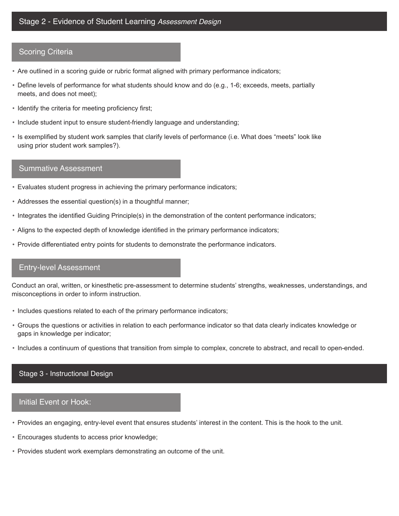#### Scoring Criteria

- • Are outlined in a scoring guide or rubric format aligned with primary performance indicators;
- • Define levels of performance for what students should know and do (e.g., 1-6; exceeds, meets, partially meets, and does not meet);
- Identify the criteria for meeting proficiency first;
- Include student input to ensure student-friendly language and understanding;
- • Is exemplified by student work samples that clarify levels of performance (i.e. What does "meets" look like using prior student work samples?).

#### Summative Assessment

- • Evaluates student progress in achieving the primary performance indicators;
- • Addresses the essential question(s) in a thoughtful manner;
- • Integrates the identified Guiding Principle(s) in the demonstration of the content performance indicators;
- • Aligns to the expected depth of knowledge identified in the primary performance indicators;
- • Provide differentiated entry points for students to demonstrate the performance indicators.

#### Entry-level Assessment

Conduct an oral, written, or kinesthetic pre-assessment to determine students' strengths, weaknesses, understandings, and misconceptions in order to inform instruction.

- • Includes questions related to each of the primary performance indicators;
- • Groups the questions or activities in relation to each performance indicator so that data clearly indicates knowledge or gaps in knowledge per indicator;
- • Includes a continuum of questions that transition from simple to complex, concrete to abstract, and recall to open-ended.

#### Stage 3 - Instructional Design

#### Initial Event or Hook:

- • Provides an engaging, entry-level event that ensures students' interest in the content. This is the hook to the unit.
- • Encourages students to access prior knowledge;
- • Provides student work exemplars demonstrating an outcome of the unit.